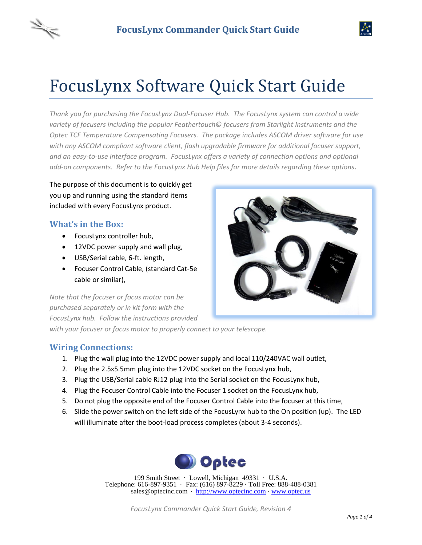# FocusLynx Software Quick Start Guide

*Thank you for purchasing the FocusLynx Dual-Focuser Hub. The FocusLynx system can control a wide variety of focusers including the popular Feathertouch© focusers from Starlight Instruments and the Optec TCF Temperature Compensating Focusers. The package includes ASCOM driver software for use with any ASCOM compliant software client, flash upgradable firmware for additional focuser support, and an easy-to-use interface program. FocusLynx offers a variety of connection options and optional add-on components. Refer to the FocusLynx Hub Help files for more details regarding these options*.

The purpose of this document is to quickly get you up and running using the standard items included with every FocusLynx product.

#### **What's in the Box:**

- FocusLynx controller hub,
- 12VDC power supply and wall plug,
- USB/Serial cable, 6-ft. length,
- Focuser Control Cable, (standard Cat-5e cable or similar),

*Note that the focuser or focus motor can be purchased separately or in kit form with the FocusLynx hub. Follow the instructions provided* 

*with your focuser or focus motor to properly connect to your telescope.*

#### **Wiring Connections:**

- 1. Plug the wall plug into the 12VDC power supply and local 110/240VAC wall outlet,
- 2. Plug the 2.5x5.5mm plug into the 12VDC socket on the FocusLynx hub,
- 3. Plug the USB/Serial cable RJ12 plug into the Serial socket on the FocusLynx hub,
- 4. Plug the Focuser Control Cable into the Focuser 1 socket on the FocusLynx hub,
- 5. Do not plug the opposite end of the Focuser Control Cable into the focuser at this time,
- 6. Slide the power switch on the left side of the FocusLynx hub to the On position (up). The LED will illuminate after the boot-load process completes (about 3-4 seconds).



199 Smith Street · Lowell, Michigan 49331 · U.S.A. Telephone: 616-897-9351 · Fax: (616) 897-8229 · Toll Free: 888-488-0381 sales@optecinc.com · [http://www.optecinc.com](http://www.optecinc.com/) · [www.optec.us](file://///Epsilon/data/Office%20Files/PRICES/Optec%20Prices%20and%20Terms/www.optec.us)



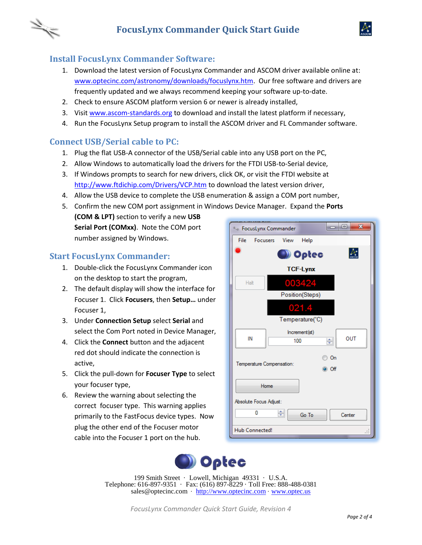



- 1. Download the latest version of FocusLynx Commander and ASCOM driver available online at: [www.optecinc.com/astronomy/downloads/focuslynx.htm.](http://www.optecinc.com/astronomy/downloads/focuslynx.htm) Our free software and drivers are frequently updated and we always recommend keeping your software up-to-date.
- 2. Check to ensure ASCOM platform version 6 or newer is already installed,
- 3. Visit [www.ascom-standards.org](http://www.ascom-standards.org/) to download and install the latest platform if necessary,
- 4. Run the FocusLynx Setup program to install the ASCOM driver and FL Commander software.

#### **Connect USB/Serial cable to PC:**

- 1. Plug the flat USB-A connector of the USB/Serial cable into any USB port on the PC,
- 2. Allow Windows to automatically load the drivers for the FTDI USB-to-Serial device,
- 3. If Windows prompts to search for new drivers, click OK, or visit the FTDI website at <http://www.ftdichip.com/Drivers/VCP.htm> to download the latest version driver,
- 4. Allow the USB device to complete the USB enumeration & assign a COM port number,
- 5. Confirm the new COM port assignment in Windows Device Manager. Expand the **Ports (COM & LPT)** section to verify a new **USB Serial Port (COMxx)**. Note the COM port **Example 1** FocusLynx Commander number assigned by Windows. File Help Focusers View

#### **Start FocusLynx Commander:**

- 1. Double-click the FocusLynx Commander icon on the desktop to start the program,
- 2. The default display will show the interface for Focuser 1. Click **Focusers**, then **Setup…** under Focuser 1,
- 3. Under **Connection Setup** select **Serial** and select the Com Port noted in Device Manager,
- 4. Click the **Connect** button and the adjacent red dot should indicate the connection is active,
- 5. Click the pull-down for **Focuser Type** to select your focuser type,
- 6. Review the warning about selecting the correct focuser type. This warning applies primarily to the FastFocus device types. Now plug the other end of the Focuser motor cable into the Focuser 1 port on the hub.





199 Smith Street · Lowell, Michigan 49331 · U.S.A. Telephone: 616-897-9351 · Fax: (616) 897-8229 · Toll Free: 888-488-0381 sales@optecinc.com · [http://www.optecinc.com](http://www.optecinc.com/) · [www.optec.us](file://///Epsilon/data/Office%20Files/PRICES/Optec%20Prices%20and%20Terms/www.optec.us)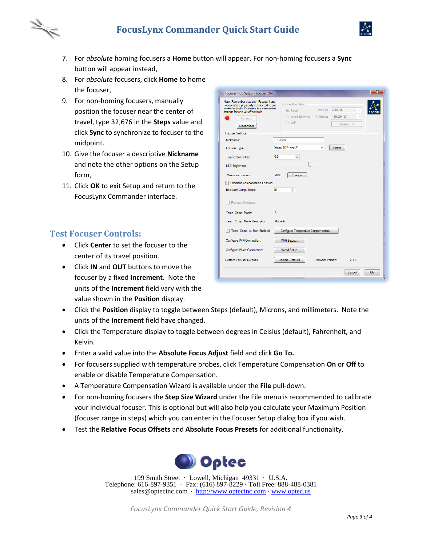## **FocusLynx Commander Quick Start Guide**



- - 7. For *absolute* homing focusers a **Home** button will appear. For non-homing focusers a **Sync** button will appear instead,
	- 8. For *absolute* focusers, click **Home** to home the focuser,
	- 9. For non-homing focusers, manually position the focuser near the center of travel, type 32,676 in the **Steps** value and click **Sync** to synchronize to focuser to the midpoint.
	- 10. Give the focuser a descriptive **Nickname** and note the other options on the Setup form,
	- 11. Click **OK** to exit Setup and return to the FocusLynx Commander interface.

#### **Test Focuser Con**t**rols:**

- Click **Center** to set the focuser to the center of its travel position.
- Click **IN** and **OUT** buttons to move the focuser by a fixed **Increment**. Note the units of the **Increment** field vary with the value shown in the **Position** display.

| x<br>Focuser Hub Setup - Focuser ONE                                                                                                                                 |                                                                  |
|----------------------------------------------------------------------------------------------------------------------------------------------------------------------|------------------------------------------------------------------|
| Note: Remember that both Focuser1 and<br>Focuser2 are physically connected to one<br>controller (hub). Changing the connection<br>settings for one will affect both. | <b>Connection Setup</b><br>Com Port:<br>COM28<br>Serial<br>ASCON |
| Connect                                                                                                                                                              | <b>Wired Ethemet</b><br>IP Address:<br>169.254.1.1<br>÷          |
| Disconnect                                                                                                                                                           | O WiFi<br>Refresh IP's                                           |
| <b>Focuser Settings:</b>                                                                                                                                             |                                                                  |
| Nickname:                                                                                                                                                            | <b>TCF-Lynx</b>                                                  |
| Focuser Type:                                                                                                                                                        | Optec TCF-Lynx 2"<br>Home                                        |
| Temperature Offset:                                                                                                                                                  | 싂<br>0.0                                                         |
| <b>LED Brightness:</b>                                                                                                                                               |                                                                  |
|                                                                                                                                                                      | the company of the com-<br>All Card                              |
| Maximum Position:                                                                                                                                                    | 7000<br>Change                                                   |
| <b>Backlash Compensation Enabled</b>                                                                                                                                 |                                                                  |
| Backlash Comp. Steps:                                                                                                                                                | 40<br>슥                                                          |
| <b>Reverse Directions</b>                                                                                                                                            |                                                                  |
| Temp. Comp. Mode:                                                                                                                                                    | A                                                                |
| Temp. Comp. Mode Description:                                                                                                                                        | Mode A                                                           |
| Temp. Comp. At Start Enabled                                                                                                                                         | Configure Temperature Compensation                               |
| Configure WiFi Connection:                                                                                                                                           | WiFi Setup                                                       |
| Configure Wired Connection:                                                                                                                                          | <b>Wired Setup</b>                                               |
| Restore Focuser Defaults:                                                                                                                                            | <b>Restore Defaults</b><br>Firmware Version:<br>210              |
|                                                                                                                                                                      |                                                                  |
|                                                                                                                                                                      | Ok<br>Cancel                                                     |

- Click the **Position** display to toggle between Steps (default), Microns, and millimeters. Note the units of the **Increment** field have changed.
- Click the Temperature display to toggle between degrees in Celsius (default), Fahrenheit, and Kelvin.
- Enter a valid value into the **Absolute Focus Adjust** field and click **Go To.**
- For focusers supplied with temperature probes, click Temperature Compensation **On** or **Off** to enable or disable Temperature Compensation.
- A Temperature Compensation Wizard is available under the **File** pull-down.
- For non-homing focusers the **Step Size Wizard** under the File menu is recommended to calibrate your individual focuser. This is optional but will also help you calculate your Maximum Position (focuser range in steps) which you can enter in the Focuser Setup dialog box if you wish.
- Test the **Relative Focus Offsets** and **Absolute Focus Presets** for additional functionality.



199 Smith Street · Lowell, Michigan 49331 · U.S.A. Telephone: 616-897-9351 · Fax: (616) 897-8229 · Toll Free: 888-488-0381 sales@optecinc.com · [http://www.optecinc.com](http://www.optecinc.com/) · [www.optec.us](file://///Epsilon/data/Office%20Files/PRICES/Optec%20Prices%20and%20Terms/www.optec.us)